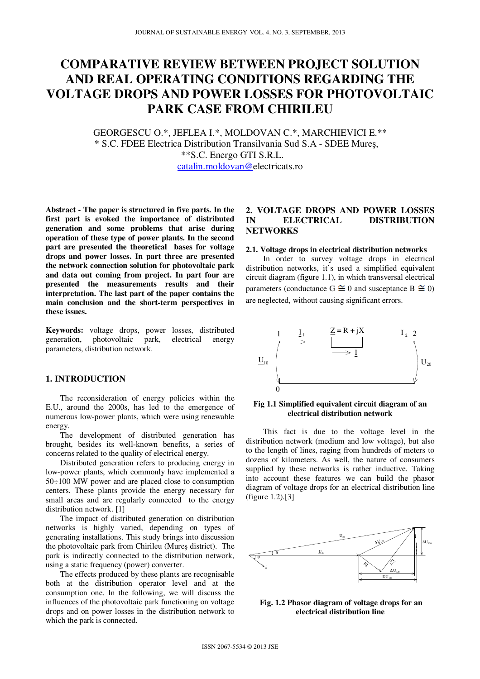# **COMPARATIVE REVIEW BETWEEN PROJECT SOLUTION AND REAL OPERATING CONDITIONS REGARDING THE VOLTAGE DROPS AND POWER LOSSES FOR PHOTOVOLTAIC PARK CASE FROM CHIRILEU**

GEORGESCU O.\*, JEFLEA I.\*, MOLDOVAN C.\*, MARCHIEVICI E.\*\* \* S.C. FDEE Electrica Distribution Transilvania Sud S.A - SDEE Mureş, \*\*S.C. Energo GTI S.R.L. catalin.moldovan@electricats.ro

**Abstract - The paper is structured in five parts. In the first part is evoked the importance of distributed generation and some problems that arise during operation of these type of power plants. In the second part are presented the theoretical bases for voltage drops and power losses. In part three are presented the network connection solution for photovoltaic park and data out coming from project. In part four are presented the measurements results and their interpretation. The last part of the paper contains the main conclusion and the short-term perspectives in these issues.** 

**Keywords:** voltage drops, power losses, distributed generation, photovoltaic park, electrical energy parameters, distribution network.

## **1. INTRODUCTION**

The reconsideration of energy policies within the E.U., around the 2000s, has led to the emergence of numerous low-power plants, which were using renewable energy.

The development of distributed generation has brought, besides its well-known benefits, a series of concerns related to the quality of electrical energy.

Distributed generation refers to producing energy in low-power plants, which commonly have implemented a 50÷100 MW power and are placed close to consumption centers. These plants provide the energy necessary for small areas and are regularly connected to the energy distribution network. [1]

The impact of distributed generation on distribution networks is highly varied, depending on types of generating installations. This study brings into discussion the photovoltaic park from Chirileu (Mureş district). The park is indirectly connected to the distribution network, using a static frequency (power) converter.

The effects produced by these plants are recognisable both at the distribution operator level and at the consumption one. In the following, we will discuss the influences of the photovoltaic park functioning on voltage drops and on power losses in the distribution network to which the park is connected.

# **2. VOLTAGE DROPS AND POWER LOSSES IN ELECTRICAL DISTRIBUTION NETWORKS**

#### **2.1. Voltage drops in electrical distribution networks**

In order to survey voltage drops in electrical distribution networks, it's used a simplified equivalent circuit diagram (figure 1.1), in which transversal electrical parameters (conductance G  $\cong$  0 and susceptance B  $\cong$  0) are neglected, without causing significant errors.



#### **Fig 1.1 Simplified equivalent circuit diagram of an electrical distribution network**

This fact is due to the voltage level in the distribution network (medium and low voltage), but also to the length of lines, raging from hundreds of meters to dozens of kilometers. As well, the nature of consumers supplied by these networks is rather inductive. Taking into account these features we can build the phasor diagram of voltage drops for an electrical distribution line (figure 1.2).[3]



 **Fig. 1.2 Phasor diagram of voltage drops for an electrical distribution line**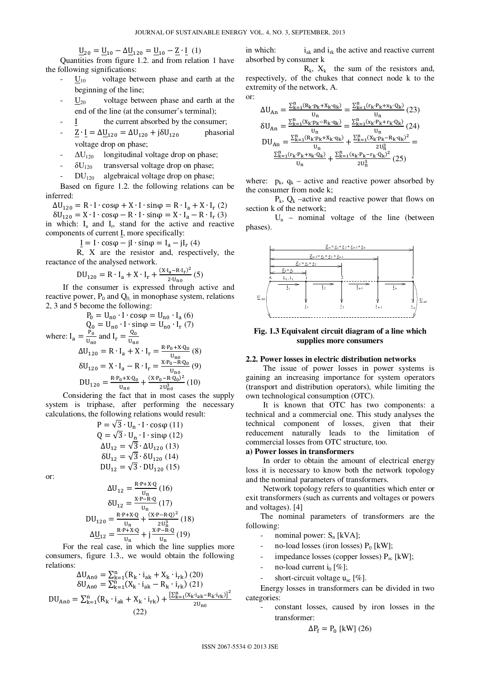$\underline{U}_{20} = \underline{U}_{10} - \Delta \underline{U}_{120} = \underline{U}_{10} - \underline{Z} \cdot \underline{I}$  (1)

Quantities from figure 1.2. and from relation 1 have the following significations:

- $U_{10}$  voltage between phase and earth at the beginning of the line;
- $\underline{U}_{20}$  voltage between phase and earth at the end of the line (at the consumer's terminal);
- I the current absorbed by the consumer;
- $\underline{Z} \cdot \underline{I} = \Delta \underline{U}_{120} = \Delta U_{120} + j \delta U_{12}$  phasorial voltage drop on phase;
- $\Delta U_{120}$  longitudinal voltage drop on phase;
- $\delta U_{120}$  transversal voltage drop on phase;
- $DU_{120}$  algebraical voltage drop on phase;

Based on figure 1.2. the following relations can be inferred:

 $\Delta U_{120} = R \cdot I \cdot \cos\varphi + X \cdot I \cdot \sin\varphi = R \cdot I_a + X \cdot I_r$  (2)

 $\delta U_{120} = X \cdot I \cdot \cos \varphi - R \cdot I \cdot \sin \varphi = X \cdot I_a - R \cdot I_r$  (3) in which:  $I_a$  and  $I_r$ , stand for the active and reactive components of current I, more specifically:

 $\underline{I} = I \cdot \cos\varphi - jI \cdot \sin\varphi = I_a - jI_r(4)$ 

 R, X are the resistor and, respectively, the reactance of the analysed network.

$$
DU_{120} = R \cdot I_a + X \cdot I_r + \frac{(X I_a - R \cdot I_r)^2}{2 \cdot U_{n0}} (5)
$$

If the consumer is expressed through active and reactive power,  $P_0$  and  $Q_0$  in monophase system, relations 2, 3 and 5 become the following:

$$
P_0 = U_{n0} \cdot I \cdot \cos\varphi = U_{n0} \cdot I_a (6)
$$
  

$$
Q_0 = U_{n0} \cdot I \cdot \sin\varphi = U_{n0} \cdot I_r (7)
$$

where: I<sub>a</sub> = 
$$
\frac{P_0}{U_{\text{no}}}
$$
 and I<sub>r</sub> =

$$
= \frac{P_0}{U_{n0}} \text{ and } I_r = \frac{Q_0}{U_{n0}}
$$
  
\n
$$
\Delta U_{120} = R \cdot I_a + X \cdot I_r = \frac{R \cdot P_0 + X \cdot Q_0}{U_{n0}} \text{ (8)}
$$
  
\n
$$
\delta U_{120} = X \cdot I_a - R \cdot I_r = \frac{X \cdot P_0 - R \cdot Q_0}{U_{n0}} \text{ (9)}
$$
  
\n
$$
DU_{120} = \frac{R \cdot P_0 + X \cdot Q_0}{U_{n0}} + \frac{(X \cdot P_0 - R \cdot Q_0)^2}{2U_{n0}^3} \text{ (10)}
$$

Considering the fact that in most cases the supply system is triphase, after performing the necessary calculations, the following relations would result:

> $P = \sqrt{3} \cdot U_n \cdot I \cdot cos\varphi(11)$  $Q = \sqrt{3} \cdot U_n \cdot I \cdot \sin \varphi (12)$  $ΔU_{12} = \sqrt{3} \cdot ΔU_{120}$  (13)  $\delta U_{12} = \sqrt{3} \cdot \delta U_{120}$  (14)  $DU_{12} = \sqrt{3} \cdot DU_{120}$  (15)

or:

$$
\Delta U_{12} = \frac{R \cdot P + X \cdot Q}{U_n} (16)
$$

$$
\delta U_{12} = \frac{X \cdot P - R \cdot Q}{U_n} (17)
$$

$$
DU_{120} = \frac{R \cdot P + X \cdot Q}{U_n} + \frac{(X \cdot P - R \cdot Q)^2}{2U_n^3} (18)
$$

$$
\Delta \underline{U}_{12} = \frac{R \cdot P + X \cdot Q}{U_n} + j \frac{X \cdot P - R \cdot Q}{U_n} (19)
$$

For the real case, in which the line supplies more consumers, figure 1.3., we would obtain the following relations:

$$
\Delta U_{An0} = \sum_{k=1}^{n} (R_k \cdot i_{ak} + X_k \cdot i_{rk}) (20)
$$
  
\n
$$
\delta U_{An0} = \sum_{k=1}^{n} (X_k \cdot i_{ak} - R_k \cdot i_{rk}) (21)
$$
  
\n
$$
DU_{An0} = \sum_{k=1}^{n} (R_k \cdot i_{ak} + X_k \cdot i_{rk}) + \frac{[\sum_{k=1}^{n} (X_k \cdot i_{ak} - R_k \cdot i_{rk})]^2}{2U_{n0}}
$$
  
\n(22)

in which:  $i_{ak}$  and  $i_{rk}$  the active and reactive current absorbed by consumer k

 $R_k$ ,  $X_k$  the sum of the resistors and, respectively, of the chukes that connect node k to the extremity of the network, A. or:

$$
\begin{split} \Delta U_{\text{An}} &= \frac{\Sigma_{k=1}^{n} (R_{k'} p_{k} + x_{k'} q_{k})}{U_{n}} = \frac{\Sigma_{k=1}^{n} (r_{k'} P_{k} + x_{k'} Q_{k})}{U_{n}} \quad (23) \\ \delta U_{\text{An}} &= \frac{\Sigma_{k=1}^{n} (X_{k'} p_{k} - R_{k'} q_{k})}{U_{n}} = \frac{\Sigma_{k=1}^{n} (x_{k'} P_{k} + r_{k'} Q_{k})}{U_{n}} \quad (24) \\ D U_{\text{An}} &= \frac{\Sigma_{k=1}^{n} (R_{k'} p_{k} + x_{k'} q_{k})}{U_{n}} + \frac{\Sigma_{k=1}^{n} (X_{k'} p_{k} - R_{k'} q_{k})^{2}}{2U_{n}^{3}} = \frac{\Sigma_{k=1}^{n} (r_{k'} P_{k} + x_{k'} Q_{k})}{U_{n}} + \frac{\Sigma_{k=1}^{n} (x_{k'} P_{k} - r_{k'} Q_{k})^{2}}{2U_{n}^{3}} \quad (25) \end{split}
$$

where:  $p_k$ ,  $q_k$  – active and reactive power absorbed by the consumer from node k;

 $P_k$ ,  $Q_k$  –active and reactive power that flows on section k of the network;

 $U_n$  – nominal voltage of the line (between phases).



**Fig. 1.3 Equivalent circuit diagram of a line which supplies more consumers** 

#### **2.2. Power losses in electric distribution networks**

The issue of power losses in power systems is gaining an increasing importance for system operators (transport and distribution operators), while limiting the own technological consumption (OTC).

It is known that OTC has two components: a technical and a commercial one. This study analyses the technical component of losses, given that their reducement naturally leads to the limitation of commercial losses from OTC structure, too.

#### **a) Power losses in transformers**

In order to obtain the amount of electrical energy loss it is necessary to know both the network topology and the nominal parameters of transformers.

Network topology refers to quantities which enter or exit transformers (such as currents and voltages or powers and voltages). [4]

The nominal parameters of transformers are the following:

- nominal power:  $S_n$  [kVA];
- no-load losses (iron losses)  $P_0$  [kW];
- impedance losses (copper losses)  $P_{sc}$  [kW];
- no-load current  $i_0$  [%];
- short-circuit voltage  $u_{\rm sc}$  [%].

Energy losses in transformers can be divided in two categories:

- constant losses, caused by iron losses in the transformer:

$$
\Delta P_f = P_0 \text{ [kW]} (26)
$$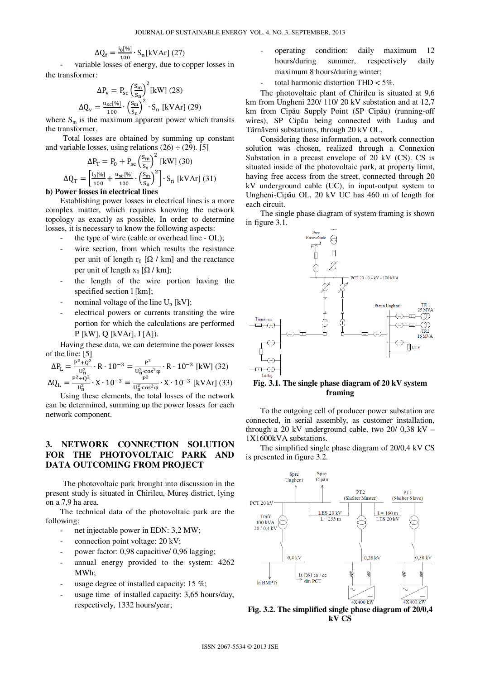$$
\Delta Q_{\rm f} = \frac{i_0[\%]}{100} \cdot S_{\rm n}[\text{kVAr}](27)
$$

variable losses of energy, due to copper losses in the transformer:

$$
\Delta P_{v} = P_{sc} \left(\frac{S_{m}}{S_{n}}\right)^{2} \text{[kW]} (28)
$$

$$
\Delta Q_{v} = \frac{u_{sc} [\%]}{100} \cdot \left(\frac{S_{m}}{S_{n}}\right)^{2} \cdot S_{n} \text{ [kVAr]} (29)
$$

where  $S_m$  is the maximum apparent power which transits the transformer.

Total losses are obtained by summing up constant and variable losses, using relations  $(26) \div (29)$ . [5]

$$
\Delta P_{T} = P_{0} + P_{sc} \left(\frac{S_{m}}{S_{n}}\right)^{2} \text{ [kW]} (30)
$$

$$
\Delta Q_{T} = \left[\frac{i_{0}[\%]}{100} + \frac{u_{sc}[\%]}{100} \cdot \left(\frac{S_{m}}{S_{n}}\right)^{2}\right] \cdot S_{n} \text{ [kVAr]} (31)
$$

## **b) Power losses in electrical lines**

Establishing power losses in electrical lines is a more complex matter, which requires knowing the network topology as exactly as possible. In order to determine losses, it is necessary to know the following aspects:

- the type of wire (cable or overhead line OL);
- wire section, from which results the resistance per unit of length r<sub>0</sub> [ $\Omega$  / km] and the reactance per unit of length  $x_0$  [ $\Omega$  / km];
- the length of the wire portion having the specified section l [km];
- nominal voltage of the line  $U_n$  [kV];
- electrical powers or currents transiting the wire portion for which the calculations are performed P [kW], Q [kVAr], I [A]).

Having these data, we can determine the power losses of the line: [5]

$$
\Delta P_{L} = \frac{P^{2} + Q^{2}}{U_{H}^{2}} \cdot R \cdot 10^{-3} = \frac{P^{2}}{U_{H}^{2} \cdot \cos^{2} \varphi} \cdot R \cdot 10^{-3} \text{ [kW]} (32)
$$

$$
\Delta Q_{L} = \frac{P^{2} + Q^{2}}{U_{H}^{2}} \cdot X \cdot 10^{-3} = \frac{P^{2}}{U_{H}^{2} \cdot \cos^{2} \varphi} \cdot X \cdot 10^{-3} \text{ [kVAr]} (33)
$$

 $U_{\text{fi}}^{\text{H}}$   $U_{\text{fi}}^{\text{H}}$   $U_{\text{fi}}^{\text{Gos2}}$   $\varphi$  and  $U_{\text{eff}}$  is total losses of the network can be determined, summing up the power losses for each network component.

# **3. NETWORK CONNECTION SOLUTION FOR THE PHOTOVOLTAIC PARK AND DATA OUTCOMING FROM PROJECT**

The photovoltaic park brought into discussion in the present study is situated in Chirileu, Mureş district, lying on a 7,9 ha area.

The technical data of the photovoltaic park are the following:

- net injectable power in EDN: 3,2 MW;
- connection point voltage: 20 kV;
- power factor: 0,98 capacitive/ 0,96 lagging;
- annual energy provided to the system: 4262 MWh;
- usage degree of installed capacity: 15  $\%$ ;
- usage time of installed capacity: 3,65 hours/day, respectively, 1332 hours/year;
- operating condition: daily maximum 12 hours/during summer, respectively daily maximum 8 hours/during winter;
- total harmonic distortion THD  $<$  5%.

The photovoltaic plant of Chirileu is situated at 9,6 km from Ungheni 220/ 110/ 20 kV substation and at 12,7 km from Cipău Supply Point (SP Cipău) (running-off wires), SP Cipău being connected with Luduş and Târnăveni substations, through 20 kV OL.

Considering these information, a network connection solution was chosen, realized through a Connexion Substation in a precast envelope of 20 kV (CS). CS is situated inside of the photovoltaic park, at property limit, having free access from the street, connected through 20 kV underground cable (UC), in input-output system to Ungheni-Cipău OL. 20 kV UC has 460 m of length for each circuit.

The single phase diagram of system framing is shown in figure 3.1.



#### **Fig. 3.1. The single phase diagram of 20 kV system framing**

To the outgoing cell of producer power substation are connected, in serial assembly, as customer installation, through a 20 kV underground cable, two  $20/0.38$  kV – 1X1600kVA substations.

The simplified single phase diagram of 20/0,4 kV CS is presented in figure 3.2.



**Fig. 3.2. The simplified single phase diagram of 20/0,4 kV CS**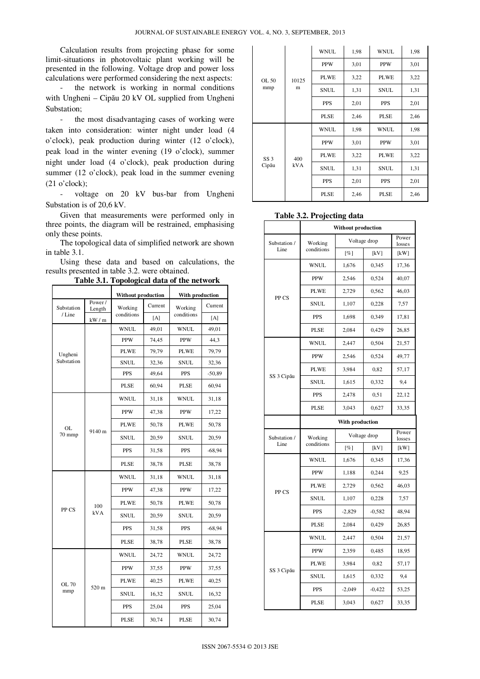Calculation results from projecting phase for some limit-situations in photovoltaic plant working will be presented in the following. Voltage drop and power loss calculations were performed considering the next aspects:

- the network is working in normal conditions with Ungheni – Cipău 20 kV OL supplied from Ungheni Substation;

- the most disadvantaging cases of working were taken into consideration: winter night under load (4 o'clock), peak production during winter (12 o'clock), peak load in the winter evening (19 o'clock), summer night under load (4 o'clock), peak production during summer (12 o'clock), peak load in the summer evening  $(21 \text{ o'clock})$ :

voltage on 20 kV bus-bar from Ungheni Substation is of 20,6 kV.

Given that measurements were performed only in three points, the diagram will be restrained, emphasising only these points.

The topological data of simplified network are shown in table 3.1.

Using these data and based on calculations, the results presented in table 3.2. were obtained.

**Table 3.1. Topological data of the network** 

|              |                  | ՟՟՟՟՟              |         |                 |          |  |
|--------------|------------------|--------------------|---------|-----------------|----------|--|
|              |                  | Without production |         | With production |          |  |
| Substation   | Power/<br>Length | Working            | Current | Working         | Current  |  |
| /Line        | kW / m           | conditions         | [A]     | conditions      | [A]      |  |
|              |                  | <b>WNUL</b>        | 49,01   | <b>WNUL</b>     | 49,01    |  |
|              |                  | <b>PPW</b>         | 74,45   | <b>PPW</b>      | 44,3     |  |
| Ungheni      |                  | <b>PLWE</b>        | 79,79   | <b>PLWE</b>     | 79,79    |  |
| Substation   |                  | <b>SNUL</b>        | 32,36   | <b>SNUL</b>     | 32,36    |  |
|              |                  | <b>PPS</b>         | 49,64   | <b>PPS</b>      | $-50,89$ |  |
|              |                  | PLSE               | 60,94   | PLSE            | 60,94    |  |
|              |                  | <b>WNUL</b>        | 31,18   | <b>WNUL</b>     | 31,18    |  |
|              |                  | <b>PPW</b>         | 47,38   | <b>PPW</b>      | 17,22    |  |
| <b>OL</b>    | 9140 m           | PLWE               | 50,78   | PLWE            | 50,78    |  |
| 70 mmp       |                  | <b>SNUL</b>        | 20,59   | <b>SNUL</b>     | 20,59    |  |
|              |                  | <b>PPS</b>         | 31,58   | <b>PPS</b>      | $-68,94$ |  |
|              |                  | PLSE               | 38,78   | PLSE            | 38,78    |  |
|              | 100<br>kVA       | <b>WNUL</b>        | 31,18   | <b>WNUL</b>     | 31,18    |  |
|              |                  | <b>PPW</b>         | 47,38   | <b>PPW</b>      | 17,22    |  |
|              |                  | PLWE               | 50,78   | PLWE            | 50,78    |  |
| PP CS        |                  | <b>SNUL</b>        | 20,59   | <b>SNUL</b>     | 20,59    |  |
|              |                  | PPS                | 31,58   | <b>PPS</b>      | $-68,94$ |  |
|              |                  | <b>PLSE</b>        | 38,78   | <b>PLSE</b>     | 38,78    |  |
|              | 520 m            | WNUL               | 24,72   | <b>WNUL</b>     | 24,72    |  |
| OL 70<br>mmp |                  | <b>PPW</b>         | 37,55   | <b>PPW</b>      | 37,55    |  |
|              |                  | PLWE               | 40,25   | <b>PLWE</b>     | 40,25    |  |
|              |                  | <b>SNUL</b>        | 16,32   | <b>SNUL</b>     | 16,32    |  |
|              |                  | <b>PPS</b>         | 25,04   | PPS             | 25,04    |  |
|              |                  | <b>PLSE</b>        | 30,74   | <b>PLSE</b>     | 30,74    |  |

|                          | 10125<br>m        | <b>WNUL</b><br>1,98                |      | <b>WNUL</b> | 1,98 |
|--------------------------|-------------------|------------------------------------|------|-------------|------|
|                          |                   | 3,01<br><b>PPW</b>                 |      | <b>PPW</b>  | 3,01 |
| OL 50                    |                   | <b>PLWE</b>                        | 3,22 | <b>PLWE</b> | 3,22 |
| mmp                      |                   | <b>SNUL</b><br>1,31<br><b>SNUL</b> |      | 1,31        |      |
|                          |                   | <b>PPS</b>                         | 2,01 | <b>PPS</b>  | 2,01 |
|                          |                   | <b>PLSE</b>                        | 2,46 | <b>PLSE</b> |      |
|                          | 400<br><b>kVA</b> | <b>WNUL</b>                        | 1,98 | <b>WNUL</b> | 1,98 |
| SS <sub>3</sub><br>Cipău |                   | <b>PPW</b>                         | 3,01 | <b>PPW</b>  | 3,01 |
|                          |                   | <b>PLWE</b>                        | 3,22 | <b>PLWE</b> | 3,22 |
|                          |                   | <b>SNUL</b>                        | 1,31 | <b>SNUL</b> | 1,31 |
|                          |                   | <b>PPS</b>                         | 2,01 | <b>PPS</b>  | 2,01 |
|                          |                   | <b>PLSE</b>                        | 2,46 | <b>PLSE</b> | 2,46 |

|              | <b>Without production</b> |                 |                 |       |  |
|--------------|---------------------------|-----------------|-----------------|-------|--|
| Substation / | Working                   | Voltage drop    | Power<br>losses |       |  |
| Line         | conditions                | [%]             | [kV]            | [kW]  |  |
|              | WNUL                      | 1,676           | 0,345           | 17,36 |  |
|              | <b>PPW</b>                | 2,546           | 0,524           | 40,07 |  |
| PP CS        | PLWE                      | 2,729           | 0,562           | 46,03 |  |
|              | <b>SNUL</b>               | 1,107           | 0,228           | 7,57  |  |
|              | PPS                       | 1,698           | 0,349           | 17,81 |  |
|              | <b>PLSE</b>               | 2,084           | 0,429           | 26,85 |  |
|              | <b>WNUL</b>               | 2,447           | 0,504           | 21,57 |  |
|              | <b>PPW</b>                | 2,546           | 0,524           | 49,77 |  |
|              | <b>PLWE</b>               | 3,984           | 0,82            | 57,17 |  |
| SS 3 Cipău   | <b>SNUL</b>               | 1,615           | 0,332           | 9,4   |  |
|              | <b>PPS</b>                | 2,478           | 0,51            | 22,12 |  |
|              | <b>PLSE</b>               | 3,043<br>0,627  |                 | 33,35 |  |
|              |                           | With production |                 |       |  |
| Substation / | Working                   | Voltage drop    | Power<br>losses |       |  |
| Line         | conditions                | $[\%]$          | [kV]            | [kW]  |  |
|              | WNUL                      | 1,676           | 0,345           | 17,36 |  |
| PP CS        | <b>PPW</b>                | 1,188           | 0,244           | 9,25  |  |
|              | <b>PLWE</b>               | 2,729           | 0,562           | 46,03 |  |
|              | <b>SNUL</b>               | 1,107           | 0,228           | 7,57  |  |
|              | PPS                       | $-2,829$        | $-0,582$        | 48,94 |  |
|              | <b>PLSE</b>               | 2,084           | 0,429           | 26,85 |  |
| SS 3 Cipău   | <b>WNUL</b>               | 2,447           | 0,504           | 21,57 |  |
|              | <b>PPW</b>                | 2,359           | 0,485           | 18,95 |  |
|              | <b>PLWE</b>               | 3,984           | 0,82            | 57,17 |  |
|              |                           |                 |                 |       |  |
|              | <b>SNUL</b>               | 1,615           | 0,332           | 9,4   |  |
|              | PPS                       | $-2,049$        | $-0,422$        | 53,25 |  |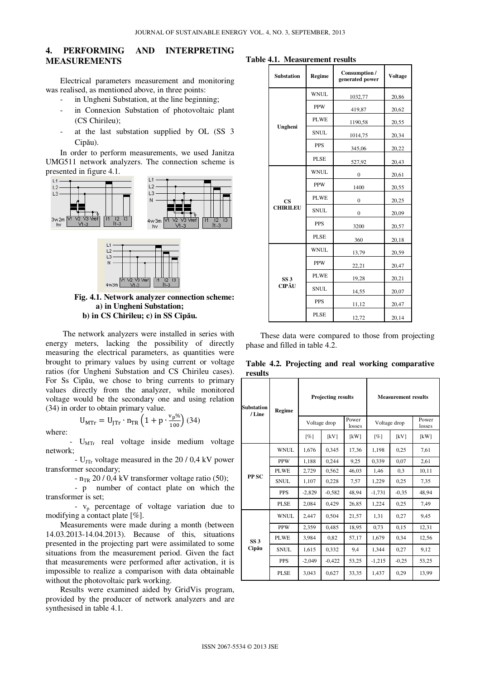## **4. PERFORMING AND INTERPRETING MEASUREMENTS**

Electrical parameters measurement and monitoring was realised, as mentioned above, in three points:

- in Ungheni Substation, at the line beginning;
- in Connexion Substation of photovoltaic plant (CS Chirileu);
- at the last substation supplied by OL (SS 3) Cipău).

In order to perform measurements, we used Janitza UMG511 network analyzers. The connection scheme is presented in figure 4.1.





**Fig. 4.1. Network analyzer connection scheme: a) in Ungheni Substation; b) in CS Chirileu; c) in SS Cip**ă**u.**

The network analyzers were installed in series with energy meters, lacking the possibility of directly measuring the electrical parameters, as quantities were brought to primary values by using current or voltage ratios (for Ungheni Substation and CS Chirileu cases). For Ss Cipău, we chose to bring currents to primary values directly from the analyzer, while monitored voltage would be the secondary one and using relation (34) in order to obtain primary value.

where:

 $U_{\text{MTr}}$  real voltage inside medium voltage network;

 $U_{\text{MTr}} = U_{\text{JTr}} \cdot n_{\text{TR}} \left( 1 + p \cdot \frac{v_p \%}{100} \right) (34)$ 

-  $U_{\text{JTr}}$  voltage measured in the 20 / 0,4 kV power transformer secondary;

-  $n_{TR}$  20 / 0,4 kV transformer voltage ratio (50);

 - p number of contact plate on which the transformer is set;

 - vp percentage of voltage variation due to modifying a contact plate [%].

Measurements were made during a month (between 14.03.2013-14.04.2013). Because of this, situations presented in the projecting part were assimilated to some situations from the measurement period. Given the fact that measurements were performed after activation, it is impossible to realize a comparison with data obtainable without the photovoltaic park working.

Results were examined aided by GridVis program, provided by the producer of network analyzers and are synthesised in table 4.1.

**Table 4.1. Measurement results** 

| <b>Substation</b>        | Regime      | Consumption /<br>generated power | <b>Voltage</b> |  |
|--------------------------|-------------|----------------------------------|----------------|--|
|                          | <b>WNUL</b> | 1032,77                          | 20,86          |  |
|                          | <b>PPW</b>  | 419,87                           | 20,62          |  |
| Ungheni                  | <b>PLWE</b> | 1190,58                          | 20,55          |  |
|                          | <b>SNUL</b> | 1014,75                          | 20,34          |  |
|                          | <b>PPS</b>  | 345,06                           | 20,22          |  |
|                          | <b>PLSE</b> | 527,92                           | 20,43          |  |
|                          | <b>WNUL</b> | $\overline{0}$                   | 20,61          |  |
|                          | <b>PPW</b>  | 1400                             | 20,55          |  |
| <b>CS</b>                | <b>PLWE</b> | $\overline{0}$                   | 20,25          |  |
| <b>CHIRILEU</b>          | SNUL.       | $\overline{0}$                   | 20,09          |  |
|                          | <b>PPS</b>  | 3200                             | 20,57          |  |
|                          | PLSE        | 360                              | 20,18          |  |
| SS <sub>3</sub><br>CIPĂU | <b>WNUL</b> | 13,79                            | 20,59          |  |
|                          | <b>PPW</b>  | 22,21                            | 20,47          |  |
|                          | <b>PLWE</b> | 19,28                            | 20,21          |  |
|                          | <b>SNUL</b> | 14,55                            | 20,07          |  |
|                          | <b>PPS</b>  | 11,12                            | 20,47          |  |
|                          | <b>PLSE</b> | 12,72                            | 20,14          |  |

These data were compared to those from projecting phase and filled in table 4.2.

**Table 4.2. Projecting and real working comparative results** 

| <b>Substation</b><br>/Line | <b>Regime</b> | Projecting results |          |                 | <b>Measurement results</b> |         |                 |
|----------------------------|---------------|--------------------|----------|-----------------|----------------------------|---------|-----------------|
|                            |               | Voltage drop       |          | Power<br>losses | Voltage drop               |         | Power<br>losses |
|                            |               | [%]                | [kV]     | [kW]            | [%]                        | [kV]    | [kW]            |
|                            | <b>WNUL</b>   | 1.676              | 0.345    | 17,36           | 1.198                      | 0,25    | 7.61            |
|                            | <b>PPW</b>    | 1,188              | 0,244    | 9,25            | 0,339                      | 0.07    | 2,61            |
|                            | PLWE          | 2,729              | 0,562    | 46,03           | 1,46                       | 0.3     | 10,11           |
| PP <sub>SC</sub>           | <b>SNUL</b>   | 1,107              | 0,228    | 7.57            | 1,229                      | 0,25    | 7,35            |
|                            | <b>PPS</b>    | $-2,829$           | $-0,582$ | 48,94           | $-1,731$                   | $-0.35$ | 48,94           |
|                            | <b>PLSE</b>   | 2,084              | 0,429    | 26,85           | 1,224                      | 0,25    | 7,49            |
| SS <sub>3</sub><br>Cipău   | <b>WNUL</b>   | 2,447              | 0.504    | 21,57           | 1,31                       | 0,27    | 9,45            |
|                            | <b>PPW</b>    | 2.359              | 0,485    | 18,95           | 0,73                       | 0,15    | 12,31           |
|                            | <b>PLWE</b>   | 3.984              | 0,82     | 57,17           | 1,679                      | 0.34    | 12,56           |
|                            | <b>SNUL</b>   | 1,615              | 0,332    | 9,4             | 1,344                      | 0,27    | 9,12            |
|                            | <b>PPS</b>    | $-2,049$           | $-0,422$ | 53,25           | $-1,215$                   | $-0,25$ | 53,25           |
|                            | <b>PLSE</b>   | 3.043              | 0,627    | 33,35           | 1,437                      | 0,29    | 13,99           |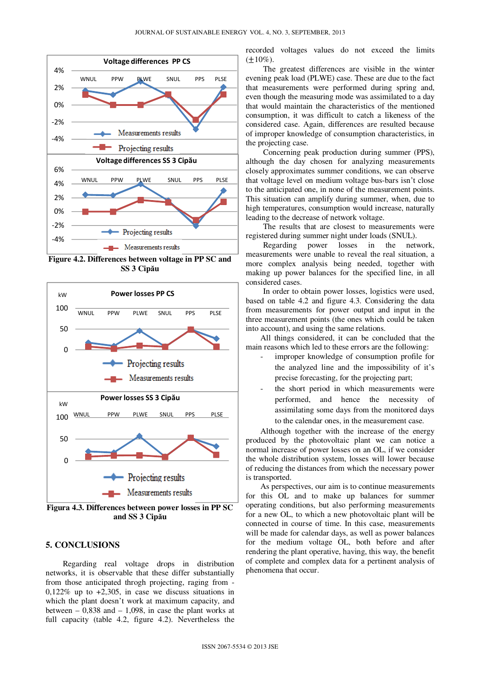

**Figure 4.2. Differences between voltage in PP SC and SS 3 Cip**ă**u** 



**Figura 4.3. Differences between power losses in PP SC and SS 3 Cip**ă**u** 

#### **5. CONCLUSIONS**

Regarding real voltage drops in distribution networks, it is observable that these differ substantially from those anticipated throgh projecting, raging from -  $0,122\%$  up to  $+2,305$ , in case we discuss situations in which the plant doesn't work at maximum capacity, and between  $-0.838$  and  $-1.098$ , in case the plant works at full capacity (table 4.2, figure 4.2). Nevertheless the

recorded voltages values do not exceed the limits  $(\pm 10\%)$ .

The greatest differences are visible in the winter evening peak load (PLWE) case. These are due to the fact that measurements were performed during spring and, even though the measuring mode was assimilated to a day that would maintain the characteristics of the mentioned consumption, it was difficult to catch a likeness of the considered case. Again, differences are resulted because of improper knowledge of consumption characteristics, in the projecting case.

Concerning peak production during summer (PPS), although the day chosen for analyzing measurements closely approximates summer conditions, we can observe that voltage level on medium voltage bus-bars isn't close to the anticipated one, in none of the measurement points. This situation can amplify during summer, when, due to high temperatures, consumption would increase, naturally leading to the decrease of network voltage.

The results that are closest to measurements were registered during summer night under loads (SNUL).

Regarding power losses in the network, measurements were unable to reveal the real situation, a more complex analysis being needed, together with making up power balances for the specified line, in all considered cases.

In order to obtain power losses, logistics were used, based on table 4.2 and figure 4.3. Considering the data from measurements for power output and input in the three measurement points (the ones which could be taken into account), and using the same relations.

All things considered, it can be concluded that the main reasons which led to these errors are the following:

- improper knowledge of consumption profile for the analyzed line and the impossibility of it's precise forecasting, for the projecting part;
- the short period in which measurements were performed, and hence the necessity of assimilating some days from the monitored days to the calendar ones, in the measurement case.

Although together with the increase of the energy produced by the photovoltaic plant we can notice a normal increase of power losses on an OL, if we consider the whole distribution system, losses will lower because of reducing the distances from which the necessary power is transported.

As perspectives, our aim is to continue measurements for this OL and to make up balances for summer operating conditions, but also performing measurements for a new OL, to which a new photovoltaic plant will be connected in course of time. In this case, measurements will be made for calendar days, as well as power balances for the medium voltage OL, both before and after rendering the plant operative, having, this way, the benefit of complete and complex data for a pertinent analysis of phenomena that occur.